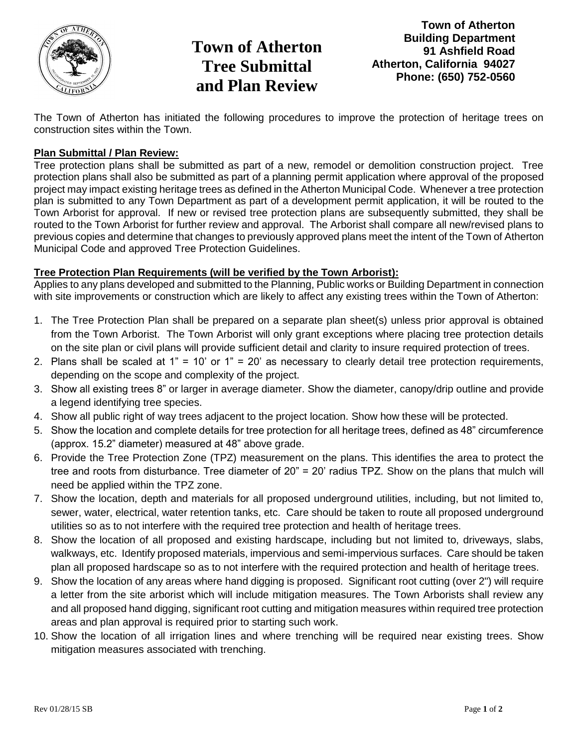

## **Town of Atherton Tree Submittal and Plan Review**

**Town of Atherton Building Department 91 Ashfield Road Atherton, California 94027 Phone: (650) 752-0560**

The Town of Atherton has initiated the following procedures to improve the protection of heritage trees on construction sites within the Town.

## **Plan Submittal / Plan Review:**

Tree protection plans shall be submitted as part of a new, remodel or demolition construction project. Tree protection plans shall also be submitted as part of a planning permit application where approval of the proposed project may impact existing heritage trees as defined in the Atherton Municipal Code. Whenever a tree protection plan is submitted to any Town Department as part of a development permit application, it will be routed to the Town Arborist for approval. If new or revised tree protection plans are subsequently submitted, they shall be routed to the Town Arborist for further review and approval. The Arborist shall compare all new/revised plans to previous copies and determine that changes to previously approved plans meet the intent of the Town of Atherton Municipal Code and approved Tree Protection Guidelines.

## **Tree Protection Plan Requirements (will be verified by the Town Arborist):**

Applies to any plans developed and submitted to the Planning, Public works or Building Department in connection with site improvements or construction which are likely to affect any existing trees within the Town of Atherton:

- 1. The Tree Protection Plan shall be prepared on a separate plan sheet(s) unless prior approval is obtained from the Town Arborist. The Town Arborist will only grant exceptions where placing tree protection details on the site plan or civil plans will provide sufficient detail and clarity to insure required protection of trees.
- 2. Plans shall be scaled at 1" = 10' or 1" = 20' as necessary to clearly detail tree protection requirements, depending on the scope and complexity of the project.
- 3. Show all existing trees 8" or larger in average diameter. Show the diameter, canopy/drip outline and provide a legend identifying tree species.
- 4. Show all public right of way trees adjacent to the project location. Show how these will be protected.
- 5. Show the location and complete details for tree protection for all heritage trees, defined as 48" circumference (approx. 15.2" diameter) measured at 48" above grade.
- 6. Provide the Tree Protection Zone (TPZ) measurement on the plans. This identifies the area to protect the tree and roots from disturbance. Tree diameter of 20" = 20' radius TPZ. Show on the plans that mulch will need be applied within the TPZ zone.
- 7. Show the location, depth and materials for all proposed underground utilities, including, but not limited to, sewer, water, electrical, water retention tanks, etc. Care should be taken to route all proposed underground utilities so as to not interfere with the required tree protection and health of heritage trees.
- 8. Show the location of all proposed and existing hardscape, including but not limited to, driveways, slabs, walkways, etc. Identify proposed materials, impervious and semi-impervious surfaces. Care should be taken plan all proposed hardscape so as to not interfere with the required protection and health of heritage trees.
- 9. Show the location of any areas where hand digging is proposed. Significant root cutting (over 2") will require a letter from the site arborist which will include mitigation measures. The Town Arborists shall review any and all proposed hand digging, significant root cutting and mitigation measures within required tree protection areas and plan approval is required prior to starting such work.
- 10. Show the location of all irrigation lines and where trenching will be required near existing trees. Show mitigation measures associated with trenching.